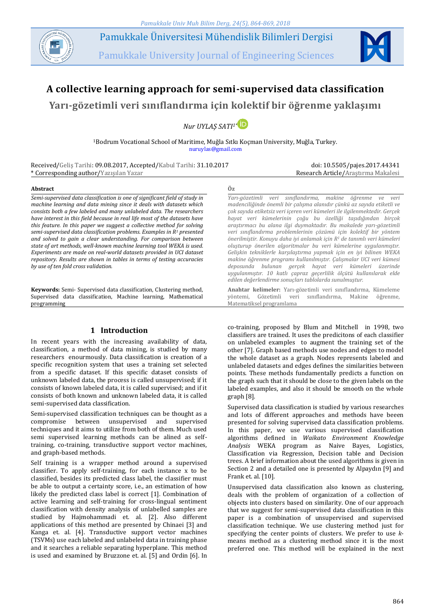

Pamukkale Üniversitesi Mühendislik Bilimleri Dergisi

Pamukkale University Journal of Engineering Sciences



# **A collective learning approach for semi-supervised data classification**

**Yarı-gözetimli veri sınıflandırma için kolektif bir öğrenme yaklaşımı**

*Nur UYLAŞ SATI1\**

<sup>1</sup>Bodrum Vocational School of Maritime, Muğla Sıtkı Koçman University, Muğla, Turkey. nuruylas@gmail.com

Received/Geliş Tarihi: 09.08.2017, Accepted/Kabul Tarihi: 31.10.2017 \* Corresponding author/Yazışılan Yazar

doi: 10.5505/pajes.2017.44341 Research Article/Araştırma Makalesi

#### **Abstract Öz**

*Semi-supervised data classification is one of significant field of study in machine learning and data mining since it deals with datasets which consists both a few labeled and many unlabeled data. The researchers have interest in this field because in real life most of the datasets have this feature. In this paper we suggest a collective method for solving semi-supervised data classification problems. Examples in R<sup>1</sup> presented and solved to gain a clear understanding. For comparison between state of art methods, well-known machine learning tool WEKA is used. Experiments are made on real-world datasets provided in UCI dataset repository. Results are shown in tables in terms of testing accuracies by use of ten fold cross validation.*

**Keywords:** Semi- Supervised data classification, Clustering method, Supervised data classification, Machine learning, Mathematical programming

# **1 Introduction**

In recent years with the increasing availability of data, classification, a method of data mining, is studied by many researchers enourmously. Data classification is creation of a specific recognition system that uses a training set selected from a specific dataset. If this specific dataset consists of unknown labeled data, the process is called unsupervised; if it consists of known labeled data, it is called supervised; and if it consists of both known and unknown labeled data, it is called semi-supervised data classification.

Semi-supervised classification techniques can be thought as a compromise between unsupervised and supervised techniques and it aims to utilize from both of them. Much used semi supervised learning methods can be alined as selftraining, co-training, transductive support vector machines, and graph-based methods.

Self training is a wrapper method around a supervised classifier. To apply self-training, for each instance x to be classified, besides its predicted class label, the classifier must be able to output a certainty score, i.e., an estimation of how likely the predicted class label is correct [1]. Combination of active learning and self-training for cross-lingual sentiment classification with density analysis of unlabelled samples are studied by Hajmohammadi et. al. [2]. Also different applications of this method are presented by Chinaei [3] and Kanga et. al. [4]. Transductive support vector machines (TSVMs) use each labeled and unlabeled data in training phase and it searches a reliable separating hyperplane. This method is used and examined by Bruzzone et. al. [5] and Ordin [6]. In

*Yarı-gözetimli veri sınıflandırma, makine öğrenme ve veri madenciliğinde önemli bir çalışma alanıdır çünkü az sayıda etiketli ve çok sayıda etiketsiz veri içeren veri kümeleri ile ilgilenmektedir. Gerçek hayat veri kümelerinin çoğu bu özelliği taşıdığından birçok araştırmacı bu alana ilgi duymaktadır. Bu makalede yarı-gözetimli veri sınıflandırma problemlerinin çözümü için kolektif bir yöntem önerilmiştir. Konuyu daha iyi anlamak için R<sup>1</sup> de tanımlı veri kümeleri oluşturup önerilen algoritmalar bu veri kümelerine uygulanmıştır. Gelişkin tekniklerle karşılaştırma yapmak için en iyi bilinen WEKA makine öğrenme programı kullanılmıştır. Çalışmalar UCI veri kümesi deposunda bulunan gerçek hayat veri kümeleri üzerinde uygulanmıştır. 10 katlı çapraz geçerlilik ölçütü kullanılarak elde edilen değerlendirme sonuçları tablolarda sunulmuştur.*

**Anahtar kelimeler:** Yarı-gözetimli veri sınıflandırma, Kümeleme yöntemi, Gözetimli veri sınıflandırma, Makine öğrenme, Matematiksel programlama

co-training, proposed by Blum and Mitchell in 1998, two classifiers are trained. It uses the predicitons of each classifier on unlabeled examples to augment the training set of the other [7]. Graph based methods use nodes and edges to model the whole dataset as a graph. Nodes represents labeled and unlabeled datasets and edges defines the similarities between points. These methods fundamentally predicts a function on the graph such that it should be close to the given labels on the labeled examples, and also it should be smooth on the whole graph [8].

Supervised data classification is studied by various researches and lots of different approaches and methods have beeen presented for solving supervised data classification problems. In this paper, we use various supervised classification algorithms defined in *Waikato Environment Knowledge Analysis* WEKA program as Naive Bayes, Logistics, Classification via Regression, Decision table and Decision trees. A brief information about the used algorithms is given in Section 2 and a detailed one is presented by Alpaydın [9] and Frank et. al. [10].

Unsupervised data classification also known as clustering, deals with the problem of organization of a collection of objects into clusters based on similarity. One of our approach that we suggest for semi-supervised data classification in this paper is a combination of unsupervised and supervised classification technique. We use clustering method just for specifying the center points of clusters. We prefer to use *k*means method as a clustering method since it is the most preferred one. This method will be explained in the next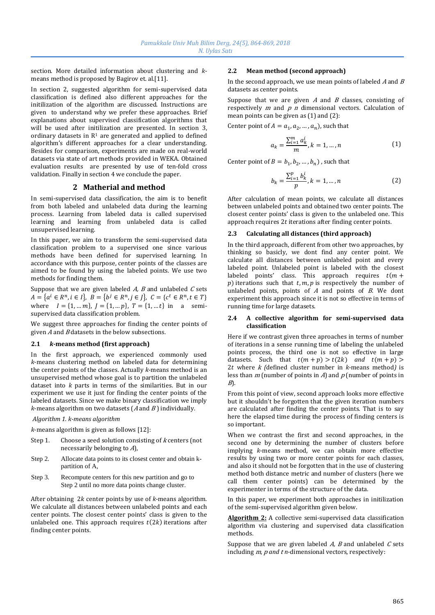section. More detailed information about clustering and *k*means method is proposed by Bagirov et. al.[11].

In section 2, suggested algorithm for semi-supervised data classification is defined also different approaches for the initilization of the algorithm are discussed. Instructions are given to understand why we prefer these approaches. Brief explanations about supervised classification algorithms that will be used after initilization are presented. In section 3, ordinary datasets in  $R<sup>1</sup>$  are generated and applied to defined algorithm's different approaches for a clear understanding. Besides for comparison, experiments are made on real-world datasets via state of art methods provided in WEKA. Obtained evaluation results are presented by use of ten-fold cross validation. Finally in section 4 we conclude the paper.

# **2 Matherial and method**

In semi-supervised data classification, the aim is to benefit from both labeled and unlabeled data during the learning process. Learning from labeled data is called supervised learning and learning from unlabeled data is called unsupervised learning.

In this paper, we aim to transform the semi-supervised data classification problem to a supervised one since various methods have been defined for supervised learning. In accordance with this purpose, center points of the classes are aimed to be found by using the labeled points. We use two methods for finding them.

Suppose that we are given labeled  $A$ ,  $B$  and unlabeled  $C$  sets  $A = \{a^i \in R^n, i \in I\}, B = \{b^j \in R^n, j \in J\}, C = \{c^t \in R^n, t \in T\}$ where  $I = \{1, ..., m\}$ ,  $J = \{1, ..., p\}$ ,  $T = \{1, ..., t\}$  in a semisupervised data classification problem.

We suggest three approaches for finding the center points of given  $A$  and  $B$  datasets in the below subsections.

# **2.1** *k***-means method (first approach)**

In the first approach, we experienced commonly used *k*-means clustering method on labeled data for determining the center points of the classes. Actually *k*-means method is an unsupervised method whose goal is to partition the unlabeled dataset into *k* parts in terms of the similarities. But in our experiment we use it just for finding the center points of the labeled datasets. Since we make binary classification we imply  $k$ -means algorithm on two datasets ( $A$  and  $B$ ) individually.

## *Algorithm 1. k-means algorithm*

*k*-means algorithm is given as follows [12]:

- Step 1. Choose a seed solution consisting of *k* centers (not necessarily belonging to A),
- Step 2. Allocate data points to its closest center and obtain kpartition of A,
- Step 3. Recompute centers for this new partition and go to Step 2 until no more data points change cluster.

After obtaining 2k center points by use of *k*-means algorithm. We calculate all distances between unlabeled points and each center points. The closest center points' class is given to the unlabeled one. This approach requires  $t(2k)$  iterations after finding center points.

## **2.2 Mean method (second approach)**

In the second approach, we use mean points of labeled  $A$  and  $B$ datasets as center points.

Suppose that we are given  $A$  and  $B$  classes, consisting of respectively  $m$  and  $p$   $n$  dimensional vectors. Calculation of mean points can be given as (1) and (2):

Center point of  $A = a_1, a_2, ..., a_n$ , such that

$$
a_k = \frac{\sum_{i=1}^{m} a_k^i}{m}, k = 1, ..., n
$$
 (1)

Center point of  $B = b_1, b_2, ..., b_n$ ), such that

$$
b_k = \frac{\sum_{i=1}^{p} b_k^i}{p}, k = 1, ..., n
$$
 (2)

After calculation of mean points, we calculate all distances between unlabeled points and obtained two center points. The closest center points' class is given to the unlabeled one. This approach requires  $2t$  iterations after finding center points.

## **2.3 Calculating all distances (third approach)**

In the third approach, different from other two approaches, by thinking so basicly, we dont find any center point. We calculate all distances between unlabeled point and every labeled point. Unlabeled point is labeled with the closest labeled points' class. This approach requires  $t(m +$  $p$ ) iterations such that  $t$ ,  $m$ ,  $p$  is respectively the number of unlabeled points, points of  $A$  and points of  $B$ . We dont experiment this approach since it is not so effective in terms of running time for large datasets.

#### **2.4 A collective algorithm for semi-supervised data classification**

Here if we contrast given three aproaches in terms of number of iterations in a sense running time of labeling the unlabeled points process, the third one is not so effective in large datasets. Such that  $t(m + p) > t(2k)$  and  $t(m + p) >$ 2 where <sup>k</sup> *(*defined cluster number in *k*-means method*)* is less than  $m$  (number of points in  $\overline{A}$ ) and  $\overline{p}$  (number of points in  $B$ ).

From this point of view, second approach looks more effective but it shouldn't be forgotten that the given iteration numbers are calculated after finding the center points. That is to say here the elapsed time during the process of finding centers is so important.

When we contrast the first and second approaches, in the second one by determining the number of clusters before implying *k*-means method, we can obtain more effective results by using two or more center points for each classes, and also it should not be forgotten that in the use of clustering method both distance metric and number of clusters (here we call them center points) can be determined by the experimenter in terms of the structure of the data.

In this paper, we experiment both approaches in initilization of the semi-supervised algorithm given below.

**Algorithm 2:** A collective semi-supervised data classification algorithm via clustering and supervised data classification methods.

Suppose that we are given labeled  $A$ ,  $B$  and unlabeled  $C$  sets including *m*, *p* and *t n*-dimensional vectors, respectively: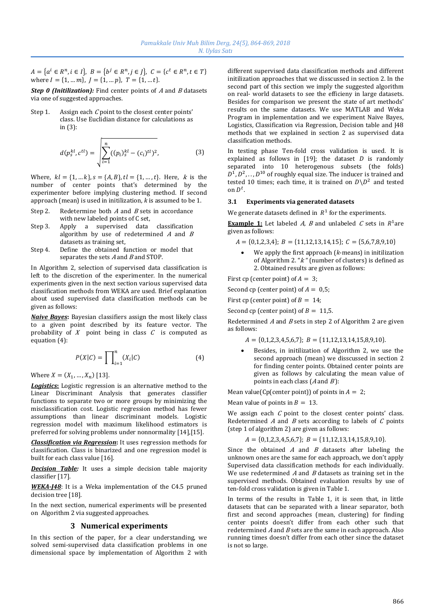$A = \{a^i \in R^n, i \in I\},\ B = \{b^j \in R^n, j \in J\},\ C = \{c^t \in R^n, t \in T\}$ where  $I = \{1, ..., m\}$ ,  $J = \{1, ..., p\}$ ,  $T = \{1, ..., t\}$ .

**Step 0 (Initilization):** Find center points of A and B datasets via one of suggested approaches.

Step 1. Assign each  $C$  point to the closest center points' class. Use Euclidian distance for calculations as in (3):

$$
d(p_s^{kl}, c^{tl}) = \sqrt{\sum_{i=1}^n ((p_i)_s^{kl} - (c_i)^{tl})^2},
$$
\n(3)

Where,  $kl = \{1, ..., k\}$ ,  $s = \{A, B\}$ ,  $tl = \{1, ..., t\}$ . Here, k is the number of center points that's determined by the experimenter before implying clustering method. If second approach (mean) is used in initilization, *k* is assumed to be 1.

- Step 2. Redetermine both  $A$  and  $B$  sets in accordance with new labeled points of C set,
- Step 3. Apply a supervised data classification algorithm by use of redetermined  $A$  and  $B$ datasets as training set,
- Step 4. Define the obtained function or model that separates the sets  $A$  and  $B$  and STOP.

In Algorithm 2, selection of supervised data classification is left to the discretion of the experimenter. In the numerical experiments given in the next section various supervised data classification methods from WEKA are used. Brief explanation about used supervised data classification methods can be given as follows:

*Naive Bayes***:** Bayesian classifiers assign the most likely class to a given point described by its feature vector. The probability of  $X$  point being in class  $C$  is computed as equation (4):

$$
P(X|C) = \prod_{i=1}^{n} (X_i|C)
$$
 (4)

Where  $X = (X_1, ..., X_n)$  [13].

*Logistics***:** Logistic regression is an alternative method to the Linear Discriminant Analysis that generates classifier functions to separate two or more groups by minimizing the misclassification cost. Logistic regression method has fewer assumptions than linear discriminant models. Logistic regression model with maximum likelihood estimators is preferred for solving problems under nonnormality [14],[15].

*Classification via Regression***:** It uses regression methods for classification. Class is binarized and one regression model is built for each class value [16].

**Decision Table:** It uses a simple decision table majority classifier [17].

*WEKA-J48*: It is a Weka implementation of the C4.5 pruned decision tree [18].

In the next section, numerical experiments will be presented on Algorithm 2 via suggested approaches.

## **3 Numerical experiments**

In this section of the paper, for a clear understanding, we solved semi-supervised data classification problems in one dimensional space by implementation of Algorithm 2 with different supervised data classification methods and different initilization approaches that we disscussed in section 2. In the second part of this section we imply the suggested algorithm on real- world datasets to see the efficieny in large datasets. Besides for comparison we present the state of art methods' results on the same datasets. We use MATLAB and Weka Program in implementation and we experiment Naive Bayes, Logistics, Classification via Regression, Decision table and J48 methods that we explained in section 2 as supervised data classification methods.

In testing phase Ten-fold cross validation is used. It is explained as follows in [19]; the dataset *D* is randomly separated into 10 heterogenous subsets (the folds)  $D^1, D^2, \ldots, D^{10}$  of roughly equal size. The inducer is trained and tested 10 times; each time, it is trained on  $D\backslash D^2$  and tested on  $D^t$ .

#### **3.1 Experiments via generated datasets**

We generate datasets defined in  $R^1$  for the experiments.

**Example 1:** Let labeled *A*, *B* and unlabeled *C* sets in  $R^1$ are given as follows:

 $A = \{0,1,2,3,4\}; B = \{11,12,13,14,15\}; C = \{5,6,7,8,9,10\}$ 

 We apply the first approach (*k*-means) in initilization of Algorithm 2. "<sup>k</sup> *"* (number of clusters) is defined as 2. Obtained results are given as follows:

First cp (center point) of  $A = 3$ ;

Second cp (center point) of  $A = 0.5$ ;

First cp (center point) of  $B = 14$ ;

Second cp (center point) of  $B = 11,5$ .

Redetermined  $A$  and  $B$  sets in step 2 of Algorithm 2 are given as follows:

 $A = \{0,1,2,3,4,5,6,7\}; B = \{11,12,13,14,15,8,9,10\}.$ 

 Besides, in initilization of Algorithm 2, we use the second approach (mean) we disscussed in section 2 for finding center points. Obtained center points are given as follows by calculating the mean value of points in each class  $(A \text{ and } B)$ :

Mean value(Cp(center point)) of points in  $A = 2$ ;

Mean value of points in  $B = 13$ .

We assign each  $C$  point to the closest center points' class. Redetermined  $A$  and  $B$  sets according to labels of  $C$  points (step 1 of algorithm 2) are given as follows:

$$
A = \{0, 1, 2, 3, 4, 5, 6, 7\}; B = \{11, 12, 13, 14, 15, 8, 9, 10\}.
$$

Since the obtained  $A$  and  $B$  datasets after labeling the unknown ones are the same for each approach, we don't apply Supervised data classification methods for each individually. We use redetermined  $A$  and  $B$  datasets as training set in the supervised methods. Obtained evaluation results by use of ten-fold cross validation is given in Table 1.

In terms of the results in Table 1, it is seen that, in little datasets that can be separated with a linear separator, both first and second approaches (mean, clustering) for finding center points doesn't differ from each other such that redetermined  $A$  and  $B$  sets are the same in each approach. Also running times doesn't differ from each other since the dataset is not so large.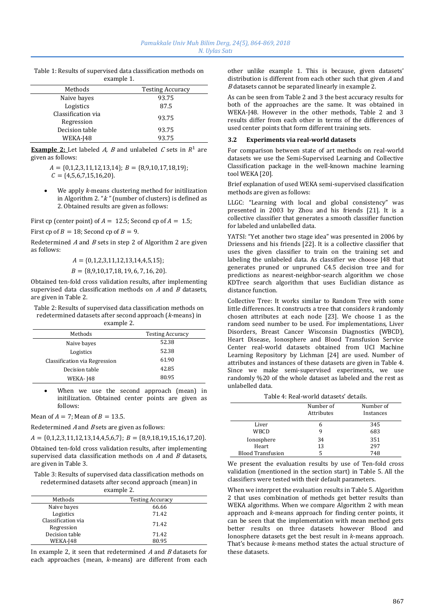| example 1.                       |                         |  |  |  |
|----------------------------------|-------------------------|--|--|--|
| Methods                          | <b>Testing Accuracy</b> |  |  |  |
| Naive bayes                      | 93.75                   |  |  |  |
| Logistics                        | 87.5                    |  |  |  |
| Classification via<br>Regression | 93.75                   |  |  |  |
| Decision table                   | 93.75                   |  |  |  |
| WEKA-J48                         | 93.75                   |  |  |  |

Table 1: Results of supervised data classification methods on

**Example 2:** Let labeled  $A$ ,  $B$  and unlabeled  $C$  sets in  $R<sup>1</sup>$  are given as follows:

> $A = \{0,1,2,3,11,12,13,14\}; B = \{8,9,10,17,18,19\};$  $C = \{4,5,6,7,15,16,20\}.$

 We apply *k*-means clustering method for initilization in Algorithm 2. "<sup>k</sup> *"* (number of clusters) is defined as 2. Obtained results are given as follows:

First cp (center point) of  $A = 12.5$ ; Second cp of  $A = 1.5$ ;

First cp of  $B = 18$ ; Second cp of  $B = 9$ .

Redetermined  $A$  and  $B$  sets in step 2 of Algorithm 2 are given as follows:

 $A = \{0,1,2,3,11,12,13,14,4,5,15\};$ 

$$
B = \{8,9,10,17,18,19,6,7,16,20\}.
$$

Obtained ten-fold cross validation results, after implementing supervised data classification methods on  $A$  and  $B$  datasets, are given in Table 2.

Table 2: Results of supervised data classification methods on redetermined datasets after second approach (*k-*means) in example 2.

| Methods                       | <b>Testing Accuracy</b> |
|-------------------------------|-------------------------|
| Naive bayes                   | 52.38                   |
| Logistics                     | 52.38                   |
| Classification via Regression | 61.90                   |
| Decision table                | 42.85                   |
| <b>WEKA-148</b>               | 80.95                   |
|                               |                         |

 When we use the second approach (mean) in initilization. Obtained center points are given as follows:

Mean of  $A = 7$ ; Mean of  $B = 13.5$ .

Redetermined  $A$  and  $B$  sets are given as follows:

 $A = \{0,1,2,3,11,12,13,14,4,5,6,7\};$   $B = \{8,9,18,19,15,16,17,20\}.$ 

Obtained ten-fold cross validation results, after implementing supervised data classification methods on  $A$  and  $B$  datasets, are given in Table 3.

Table 3: Results of supervised data classification methods on redetermined datasets after second approach (mean) in example 2.

| Methods                          | <b>Testing Accuracy</b> |  |
|----------------------------------|-------------------------|--|
| Naive bayes                      | 66.66                   |  |
| Logistics                        | 71.42                   |  |
| Classification via<br>Regression | 71.42                   |  |
| Decision table                   | 71.42                   |  |
| WEKA-J48                         | 80.95                   |  |

In example 2, it seen that redetermined  $A$  and  $B$  datasets for each approaches (mean, *k*-means) are different from each other unlike example 1. This is because, given datasets' distribution is different from each other such that given <sup>A</sup> and <sup>B</sup> datasets cannot be separated linearly in example 2.

As can be seen from Table 2 and 3 the best accuracy results for both of the approaches are the same. It was obtained in WEKA-J48. However in the other methods, Table 2 and 3 results differ from each other in terms of the differences of used center points that form different training sets.

#### **3.2 Experiments via real-world datasets**

For comparison between state of art methods on real-world datasets we use the Semi-Supervised Learning and Collective Classification package in the well-known machine learning tool WEKA [20].

Brief explanation of used WEKA semi-supervised classification methods are given as follows:

LLGC: "Learning with local and global consistency" was presented in 2003 by Zhou and his friends [21]. It is a collective classifier that generates a smooth classifier function for labeled and unlabelled data.

YATSI: "Yet another two stage idea" was presented in 2006 by Driessens and his friends [22]. It is a collective classifier that uses the given classifier to train on the training set and labeling the unlabeled data. As classifier we choose J48 that generates pruned or unpruned C4.5 decision tree and for predictions as nearest-neighbor-search algorithm we chose KDTree search algorithm that uses Euclidian distance as distance function.

Collective Tree: It works similar to Random Tree with some little differences. It constructs a tree that considers *k* randomly chosen attributes at each node [23]. We choose 1 as the random seed number to be used. For implementations, Liver Disorders, Breast Cancer Wisconsin Diagnostics (WBCD), Heart Disease, Ionosphere and Blood Transfusion Service Center real-world datasets obtained from UCI Machine Learning Repository by Lichman [24] are used. Number of attributes and instances of these datasets are given in Table 4. Since we make semi-supervised experiments, we use randomly %20 of the whole dataset as labeled and the rest as unlabelled data.

## Table 4: Real-world datasets' details.

|                          | Number of<br>Number of<br>Attributes<br>Instances |     |
|--------------------------|---------------------------------------------------|-----|
| Liver                    | h                                                 | 345 |
| WBCD                     |                                                   | 683 |
| Ionosphere               | 34                                                | 351 |
| Heart                    | 13                                                | 297 |
| <b>Blood Transfusion</b> |                                                   | 748 |

We present the evaluation results by use of Ten-fold cross validation (mentioned in the section start) in Table 5. All the classifiers were tested with their default parameters.

When we interpret the evaluation results in Table 5. Algorithm 2 that uses combination of methods get better results than WEKA algorithms. When we compare Algorithm 2 with mean approach and *k*-means approach for finding center points, it can be seen that the implementation with mean method gets better results on three datasets however Blood and Ionosphere datasets get the best result in *k*-means approach. That's because *k*-means method states the actual structure of these datasets.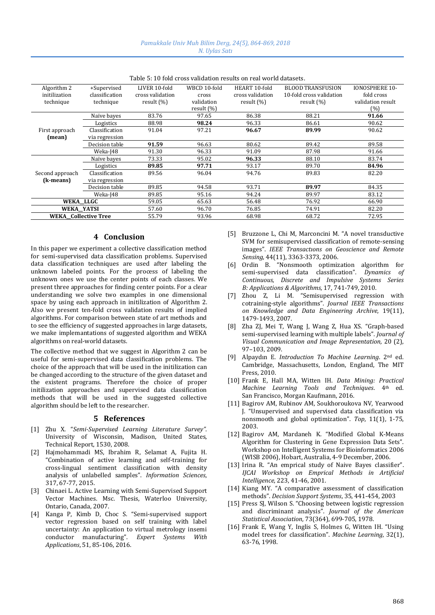| Algorithm 2                 | +Supervised    | LIVER 10-fold    | WBCD 10-fold | HEART 10-fold    | <b>BLOOD TRANSFUSION</b> | <b>IONOSPHERE 10-</b> |
|-----------------------------|----------------|------------------|--------------|------------------|--------------------------|-----------------------|
| initilization               | classification | cross validation | cross        | cross validation | 10-fold cross validation | fold cross            |
| technique                   | technique      | result $(\% )$   | validation   | result $(\% )$   | result $(\% )$           | validation result     |
|                             |                |                  | result (%)   |                  |                          | (%)                   |
|                             | Naïve bayes    | 83.76            | 97.65        | 86.38            | 88.21                    | 91.66                 |
|                             | Logistics      | 88.98            | 98.24        | 96.33            | 86.61                    | 90.62                 |
| First approach              | Classification | 91.04            | 97.21        | 96.67            | 89.99                    | 90.62                 |
| (mean)                      | via regression |                  |              |                  |                          |                       |
|                             | Decision table | 91.59            | 96.63        | 80.62            | 89.42                    | 89.58                 |
|                             | Weka-I48       | 91.30            | 96.33        | 91.09            | 87.98                    | 91.66                 |
|                             | Naïve baves    | 73.33            | 95.02        | 96.33            | 88.10                    | 83.74                 |
|                             | Logistics      | 89.85            | 97.71        | 93.17            | 89.70                    | 84.96                 |
| Second approach             | Classification | 89.56            | 96.04        | 94.76            | 89.83                    | 82.20                 |
| (k-means)                   | via regression |                  |              |                  |                          |                       |
|                             | Decision table | 89.85            | 94.58        | 93.71            | 89.97                    | 84.35                 |
|                             | Weka-I48       | 89.85            | 95.16        | 94.24            | 89.97                    | 83.12                 |
| WEKA LLGC                   |                | 59.05            | 65.63        | 56.48            | 76.92                    | 66.90                 |
| WEKA YATSI                  |                | 57.60            | 96.70        | 76.85            | 74.91                    | 82.20                 |
| <b>WEKA</b> Collective Tree |                | 55.79            | 93.96        | 68.98            | 68.72                    | 72.95                 |

Table 5: 10 fold cross validation results on real world datasets.

## **4 Conclusion**

In this paper we experiment a collective classification method for semi-supervised data classification problems. Supervised data classification techniques are used after labeling the unknown labeled points. For the process of labeling the unknown ones we use the center points of each classes. We present three approaches for finding center points. For a clear understanding we solve two examples in one dimensional space by using each approach in initilization of Algorithm 2. Also we present ten-fold cross validation results of implied algorithms. For comparison between state of art methods and to see the efficiency of suggested approaches in large datasets, we make implemantations of suggested algorithm and WEKA algorithms on real-world datasets.

The collective method that we suggest in Algorithm 2 can be useful for semi-supervised data classification problems. The choice of the approach that will be used in the initilization can be changed according to the structure of the given dataset and the existent programs. Therefore the choice of proper initilization approaches and supervised data classification methods that will be used in the suggested collective algorithm should be left to the researcher.

#### **5 References**

- [1] Zhu X. "*Semi-Supervised Learning Literature Survey"*. University of Wisconsin, Madison, United States, Technical Report, 1530, 2008.
- [2] Hajmohammadi MS, Ibrahim R, Selamat A, Fujita H. "Combination of active learning and self-training for cross-lingual sentiment classification with density analysis of unlabelled samples". *Information Sciences*, 317, 67-77, 2015.
- [3] Chinaei L. Active Learning with Semi-Supervised Support Vector Machines. Msc. Thesis, Waterloo University, Ontario, Canada, 2007.
- [4] Kanga P, Kimb D, Choc S. "Semi-supervised support vector regression based on self training with label uncertainty: An application to virtual metrology insemi conductor manufacturing". *Expert Systems With Applications*, 51, 85-106, 2016.
- [5] Bruzzone L, Chi M, Marconcini M. "A novel transductive SVM for semisupervised classification of remote-sensing images". *IEEE Transactıons on Geoscience and Remote Sensing*, 44(11), 3363-3373, 2006.
- [6] Ordin B. "Nonsmooth optimization algorithm for semi-supervised data classification". *Dynamics of Continuous, Discrete and Impulsive Systems Series B: Applications & Algorithms,* 17, 741-749, 2010.
- [7] Zhou Z, Li M. "Semisupervised regression with cotraining-style algorithms". *Journal IEEE Transactions on Knowledge and Data Engineering Archive*, 19(11), 1479-1493, 2007.
- [8] Zha ZJ, Mei T, Wang J, Wang Z, Hua XS. "Graph-based semi-supervised learning with multiple labels". *Journal of Visual Communication and Image Representation,* 20 (2), 97–103, 2009.
- [9] Alpaydın E*. Introduction To Machine Learning*. 2nd ed. Cambridge, Massachusetts, London, England, The MIT Press, 2010.
- [10] Frank E, Hall MA, Witten IH. *Data Mining: Practical Machine Learning Tools and Techniques*. 4th ed. San Francisco, Morgan Kaufmann, 2016.
- [11] Bagirov AM, Rubinov AM, Soukhoroukova NV, Yearwood J. "Unsupervised and supervised data classification via nonsmooth and global optimization". *Top*, 11(1), 1-75, 2003.
- [12] Bagirov AM, Mardaneh K. "Modified Global K-Means Algorithm for Clustering in Gene Expression Data Sets". Workshop on Intelligent Systems for Bioinformatics 2006 (WISB 2006), Hobart, Australia, 4-9 December, 2006.
- [13] Irina R. "An emprical study of Naive Bayes classifier". *IJCAI Workshop on Emprical Methods in Artificial Intelligence*, 223, 41-46, 2001.
- [14] Kiang MY. "A comparative assessment of classification methods". *Decision Support Systems*, 35, 441-454, 2003
- [15] Press SJ, Wilson S. "Choosing between logistic regression and discriminant analysis". *Journal of the American Statistical Association*, 73(364), 699-705, 1978.
- [16] Frank E, Wang Y, Inglis S, Holmes G, Witten IH. "Using model trees for classification". *Machine Learning*, 32(1), 63-76, 1998.